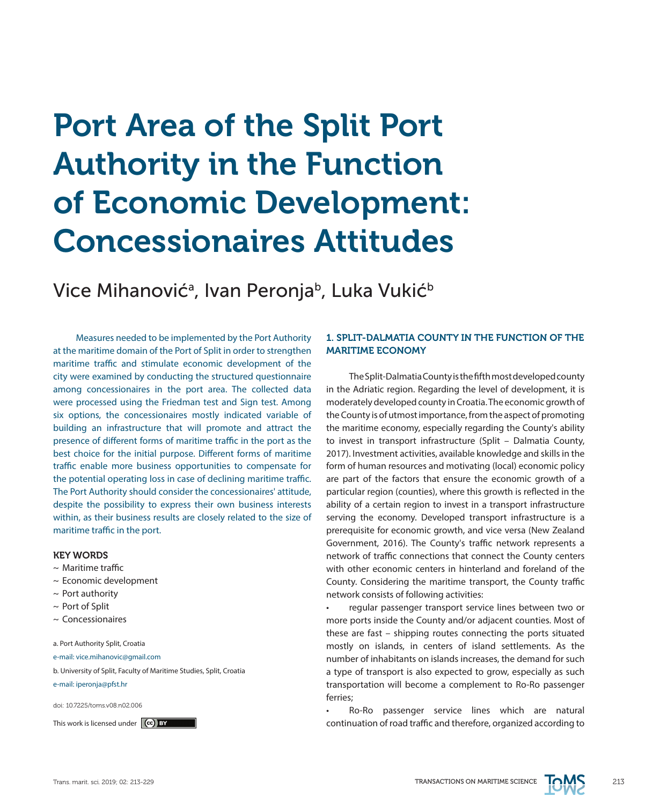# Port Area of the Split Port Authority in the Function of Economic Development: Concessionaires Attitudes

Vice Mihanovićª, Ivan Peronjaʰ, Luka Vukićʰ

Measures needed to be implemented by the Port Authority at the maritime domain of the Port of Split in order to strengthen maritime traffic and stimulate economic development of the city were examined by conducting the structured questionnaire among concessionaires in the port area. The collected data were processed using the Friedman test and Sign test. Among six options, the concessionaires mostly indicated variable of building an infrastructure that will promote and attract the presence of different forms of maritime traffic in the port as the best choice for the initial purpose. Different forms of maritime traffic enable more business opportunities to compensate for the potential operating loss in case of declining maritime traffic. The Port Authority should consider the concessionaires' attitude, despite the possibility to express their own business interests within, as their business results are closely related to the size of maritime traffic in the port.

#### KEY WORDS

- $\sim$  Maritime traffic
- ~ Economic development
- $\sim$  Port authority
- ~ Port of Split
- ~ Concessionaires

a. Port Authority Split, Croatia

e-mail: vice.mihanovic@gmail.com

- b. University of Split, Faculty of Maritime Studies, Split, Croatia
- e-mail: iperonja@pfst.hr

doi: 10.7225/toms.v08.n02.006

# 1. SPLIT-DALMATIA COUNTY IN THE FUNCTION OF THE MARITIME ECONOMY

The Split-Dalmatia County is the fifth most developed county in the Adriatic region. Regarding the level of development, it is moderately developed county in Croatia. The economic growth of the County is of utmost importance, from the aspect of promoting the maritime economy, especially regarding the County's ability to invest in transport infrastructure (Split – Dalmatia County, 2017). Investment activities, available knowledge and skills in the form of human resources and motivating (local) economic policy are part of the factors that ensure the economic growth of a particular region (counties), where this growth is reflected in the ability of a certain region to invest in a transport infrastructure serving the economy. Developed transport infrastructure is a prerequisite for economic growth, and vice versa (New Zealand Government, 2016). The County's traffic network represents a network of traffic connections that connect the County centers with other economic centers in hinterland and foreland of the County. Considering the maritime transport, the County traffic network consists of following activities:

• regular passenger transport service lines between two or more ports inside the County and/or adjacent counties. Most of these are fast – shipping routes connecting the ports situated mostly on islands, in centers of island settlements. As the number of inhabitants on islands increases, the demand for such a type of transport is also expected to grow, especially as such transportation will become a complement to Ro-Ro passenger ferries;

Ro-Ro passenger service lines which are natural This work is licensed under  $\ket{\mathbf{G}}$  by the continuation of road traffic and therefore, organized according to

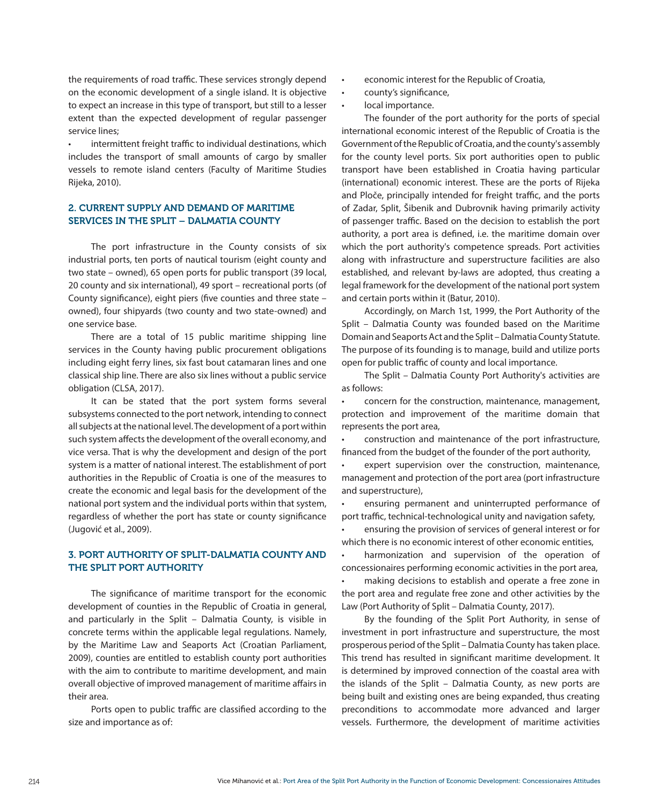the requirements of road traffic. These services strongly depend on the economic development of a single island. It is objective to expect an increase in this type of transport, but still to a lesser extent than the expected development of regular passenger service lines;

intermittent freight traffic to individual destinations, which includes the transport of small amounts of cargo by smaller vessels to remote island centers (Faculty of Maritime Studies Rijeka, 2010).

# 2. CURRENT SUPPLY AND DEMAND OF MARITIME SERVICES IN THE SPLIT – DALMATIA COUNTY

The port infrastructure in the County consists of six industrial ports, ten ports of nautical tourism (eight county and two state – owned), 65 open ports for public transport (39 local, 20 county and six international), 49 sport – recreational ports (of County significance), eight piers (five counties and three state – owned), four shipyards (two county and two state-owned) and one service base.

There are a total of 15 public maritime shipping line services in the County having public procurement obligations including eight ferry lines, six fast bout catamaran lines and one classical ship line. There are also six lines without a public service obligation (CLSA, 2017).

It can be stated that the port system forms several subsystems connected to the port network, intending to connect all subjects at the national level. The development of a port within such system affects the development of the overall economy, and vice versa. That is why the development and design of the port system is a matter of national interest. The establishment of port authorities in the Republic of Croatia is one of the measures to create the economic and legal basis for the development of the national port system and the individual ports within that system, regardless of whether the port has state or county significance (Jugović et al., 2009).

# 3. PORT AUTHORITY OF SPLIT-DALMATIA COUNTY AND THE SPLIT PORT AUTHORITY

The significance of maritime transport for the economic development of counties in the Republic of Croatia in general, and particularly in the Split – Dalmatia County, is visible in concrete terms within the applicable legal regulations. Namely, by the Maritime Law and Seaports Act (Croatian Parliament, 2009), counties are entitled to establish county port authorities with the aim to contribute to maritime development, and main overall objective of improved management of maritime affairs in their area.

Ports open to public traffic are classified according to the size and importance as of:

- economic interest for the Republic of Croatia,
- • county's significance,
- local importance.

The founder of the port authority for the ports of special international economic interest of the Republic of Croatia is the Government of the Republic of Croatia, and the county's assembly for the county level ports. Six port authorities open to public transport have been established in Croatia having particular (international) economic interest. These are the ports of Rijeka and Ploče, principally intended for freight traffic, and the ports of Zadar, Split, Šibenik and Dubrovnik having primarily activity of passenger traffic. Based on the decision to establish the port authority, a port area is defined, i.e. the maritime domain over which the port authority's competence spreads. Port activities along with infrastructure and superstructure facilities are also established, and relevant by-laws are adopted, thus creating a legal framework for the development of the national port system and certain ports within it (Batur, 2010).

Accordingly, on March 1st, 1999, the Port Authority of the Split – Dalmatia County was founded based on the Maritime Domain and Seaports Act and the Split – Dalmatia County Statute. The purpose of its founding is to manage, build and utilize ports open for public traffic of county and local importance.

The Split – Dalmatia County Port Authority's activities are as follows:

concern for the construction, maintenance, management, protection and improvement of the maritime domain that represents the port area,

construction and maintenance of the port infrastructure. financed from the budget of the founder of the port authority,

expert supervision over the construction, maintenance, management and protection of the port area (port infrastructure and superstructure),

ensuring permanent and uninterrupted performance of port traffic, technical-technological unity and navigation safety,

ensuring the provision of services of general interest or for which there is no economic interest of other economic entities,

harmonization and supervision of the operation of concessionaires performing economic activities in the port area,

• making decisions to establish and operate a free zone in the port area and regulate free zone and other activities by the Law (Port Authority of Split – Dalmatia County, 2017).

By the founding of the Split Port Authority, in sense of investment in port infrastructure and superstructure, the most prosperous period of the Split – Dalmatia County has taken place. This trend has resulted in significant maritime development. It is determined by improved connection of the coastal area with the islands of the Split – Dalmatia County, as new ports are being built and existing ones are being expanded, thus creating preconditions to accommodate more advanced and larger vessels. Furthermore, the development of maritime activities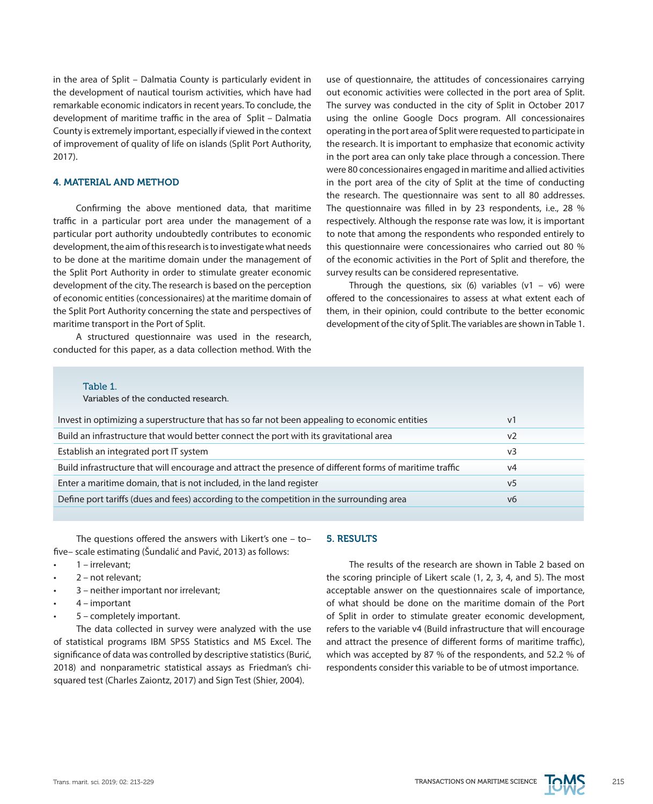in the area of Split – Dalmatia County is particularly evident in the development of nautical tourism activities, which have had remarkable economic indicators in recent years. To conclude, the development of maritime traffic in the area of Split – Dalmatia County is extremely important, especially if viewed in the context of improvement of quality of life on islands (Split Port Authority, 2017).

### 4. MATERIAL AND METHOD

Confirming the above mentioned data, that maritime traffic in a particular port area under the management of a particular port authority undoubtedly contributes to economic development, the aim of this research is to investigate what needs to be done at the maritime domain under the management of the Split Port Authority in order to stimulate greater economic development of the city. The research is based on the perception of economic entities (concessionaires) at the maritime domain of the Split Port Authority concerning the state and perspectives of maritime transport in the Port of Split.

A structured questionnaire was used in the research, conducted for this paper, as a data collection method. With the use of questionnaire, the attitudes of concessionaires carrying out economic activities were collected in the port area of Split. The survey was conducted in the city of Split in October 2017 using the online Google Docs program. All concessionaires operating in the port area of Split were requested to participate in the research. It is important to emphasize that economic activity in the port area can only take place through a concession. There were 80 concessionaires engaged in maritime and allied activities in the port area of the city of Split at the time of conducting the research. The questionnaire was sent to all 80 addresses. The questionnaire was filled in by 23 respondents, i.e., 28 % respectively. Although the response rate was low, it is important to note that among the respondents who responded entirely to this questionnaire were concessionaires who carried out 80 % of the economic activities in the Port of Split and therefore, the survey results can be considered representative.

Through the questions, six (6) variables  $(v1 - v6)$  were offered to the concessionaires to assess at what extent each of them, in their opinion, could contribute to the better economic development of the city of Split. The variables are shown in Table 1.

| Table |  |  |
|-------|--|--|
|       |  |  |

Variables of the conducted research.

| Invest in optimizing a superstructure that has so far not been appealing to economic entities            | V <sup>1</sup> |
|----------------------------------------------------------------------------------------------------------|----------------|
| Build an infrastructure that would better connect the port with its gravitational area                   | v <sub>2</sub> |
| Establish an integrated port IT system                                                                   | $v_3$          |
| Build infrastructure that will encourage and attract the presence of different forms of maritime traffic | v4             |
| Enter a maritime domain, that is not included, in the land register                                      | v <sub>5</sub> |
| Define port tariffs (dues and fees) according to the competition in the surrounding area                 | v6             |
|                                                                                                          |                |

The questions offered the answers with Likert's one – to– five– scale estimating (Šundalić and Pavić, 2013) as follows:

- 1 irrelevant:
- $2 not$  relevant:
- 3 neither important nor irrelevant;
- 4 important
- 5 completely important.

The data collected in survey were analyzed with the use of statistical programs IBM SPSS Statistics and MS Excel. The significance of data was controlled by descriptive statistics (Burić, 2018) and nonparametric statistical assays as Friedman's chisquared test (Charles Zaiontz, 2017) and Sign Test (Shier, 2004).

## 5. RESULTS

The results of the research are shown in Table 2 based on the scoring principle of Likert scale (1, 2, 3, 4, and 5). The most acceptable answer on the questionnaires scale of importance, of what should be done on the maritime domain of the Port of Split in order to stimulate greater economic development, refers to the variable v4 (Build infrastructure that will encourage and attract the presence of different forms of maritime traffic), which was accepted by 87 % of the respondents, and 52.2 % of respondents consider this variable to be of utmost importance.

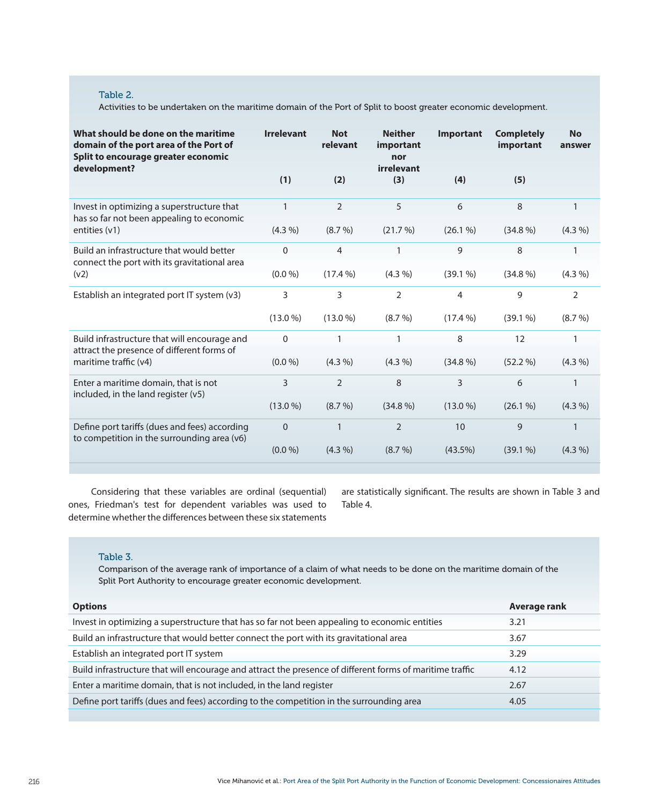# Table 2.

Activities to be undertaken on the maritime domain of the Port of Split to boost greater economic development.

| What should be done on the maritime<br>domain of the port area of the Port of<br>Split to encourage greater economic<br>development? | <b>Irrelevant</b> | <b>Not</b><br>relevant | <b>Neither</b><br>important<br>nor<br>irrelevant | <b>Important</b> | <b>Completely</b><br>important | <b>No</b><br>answer |
|--------------------------------------------------------------------------------------------------------------------------------------|-------------------|------------------------|--------------------------------------------------|------------------|--------------------------------|---------------------|
|                                                                                                                                      | (1)               | (2)                    | (3)                                              | (4)              | (5)                            |                     |
| Invest in optimizing a superstructure that<br>has so far not been appealing to economic                                              | 1                 | $\overline{2}$         | 5                                                | 6                | 8                              | $\mathbf{1}$        |
| entities $(v1)$                                                                                                                      | $(4.3\% )$        | $(8.7\%)$              | (21.7%)                                          | (26.1%           | $(34.8\%)$                     | $(4.3\% )$          |
| Build an infrastructure that would better<br>connect the port with its gravitational area                                            | $\Omega$          | 4                      | 1                                                | 9                | 8                              | 1                   |
| (v2)                                                                                                                                 | (0.0 %)           | $(17.4\%)$             | $(4.3\%)$                                        | (39.1%           | $(34.8\%)$                     | $(4.3\% )$          |
| Establish an integrated port IT system (v3)                                                                                          | 3                 | 3                      | $\overline{2}$                                   | 4                | 9                              | $\overline{2}$      |
|                                                                                                                                      | $(13.0\%)$        | $(13.0\%)$             | $(8.7\%)$                                        | $(17.4\%)$       | (39.1%                         | $(8.7\%)$           |
| Build infrastructure that will encourage and<br>attract the presence of different forms of                                           | $\mathbf{0}$      |                        | 1                                                | 8                | 12                             | 1                   |
| maritime traffic (y4)                                                                                                                | (0.0 %)           | $(4.3\% )$             | $(4.3\%)$                                        | $(34.8\%)$       | $(52.2\%)$                     | $(4.3\%)$           |
| Enter a maritime domain, that is not<br>included, in the land register $(v5)$                                                        | 3                 | $\overline{2}$         | 8                                                | 3                | 6                              | $\mathbf{1}$        |
|                                                                                                                                      | $(13.0\%)$        | $(8.7\% )$             | $(34.8\%)$                                       | $(13.0\%)$       | $(26.1\%)$                     | $(4.3\%)$           |
| Define port tariffs (dues and fees) according<br>to competition in the surrounding area (v6)                                         | $\Omega$          |                        | $\overline{2}$                                   | 10               | 9                              | $\mathbf 1$         |
|                                                                                                                                      | (0.0 %)           | $(4.3\%)$              | $(8.7\%)$                                        | $(43.5\%)$       | (39.1%                         | $(4.3\%)$           |

Considering that these variables are ordinal (sequential) ones, Friedman's test for dependent variables was used to determine whether the differences between these six statements

are statistically significant. The results are shown in Table 3 and Table 4.

# Table 3.

Comparison of the average rank of importance of a claim of what needs to be done on the maritime domain of the Split Port Authority to encourage greater economic development.

| <b>Options</b>                                                                                           | Average rank |
|----------------------------------------------------------------------------------------------------------|--------------|
| Invest in optimizing a superstructure that has so far not been appealing to economic entities            | 3.21         |
| Build an infrastructure that would better connect the port with its gravitational area                   | 3.67         |
| Establish an integrated port IT system                                                                   | 3.29         |
| Build infrastructure that will encourage and attract the presence of different forms of maritime traffic | 4.12         |
| Enter a maritime domain, that is not included, in the land register                                      | 2.67         |
| Define port tariffs (dues and fees) according to the competition in the surrounding area                 | 4.05         |
|                                                                                                          |              |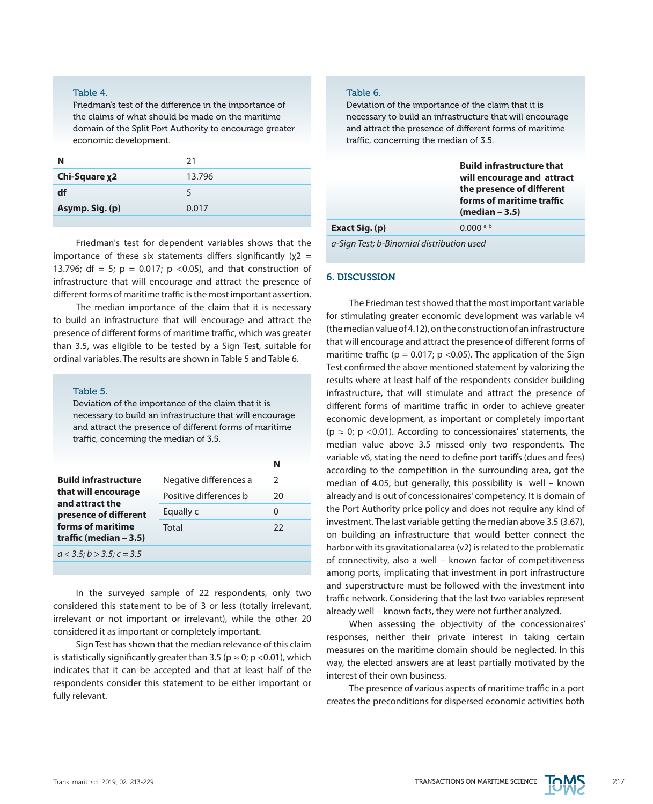#### Table 4.

Friedman's test of the difference in the importance of the claims of what should be made on the maritime domain of the Split Port Authority to encourage greater economic development.

| Ν               | 21     |
|-----------------|--------|
| Chi-Square x2   | 13.796 |
| df              |        |
| Asymp. Sig. (p) | 0.017  |
|                 |        |

Friedman's test for dependent variables shows that the importance of these six statements differs significantly ( $x^2$  = 13.796; df = 5;  $p = 0.017$ ;  $p < 0.05$ ), and that construction of infrastructure that will encourage and attract the presence of different forms of maritime traffic is the most important assertion.

The median importance of the claim that it is necessary to build an infrastructure that will encourage and attract the presence of different forms of maritime traffic, which was greater than 3.5, was eligible to be tested by a Sign Test, suitable for ordinal variables. The results are shown in Table 5 and Table 6.

#### Table 5.

Deviation of the importance of the claim that it is necessary to build an infrastructure that will encourage and attract the presence of different forms of maritime traffic, concerning the median of 3.5.

|                                                                                                                                                 |                        | Ν  |  |
|-------------------------------------------------------------------------------------------------------------------------------------------------|------------------------|----|--|
| <b>Build infrastructure</b><br>that will encourage<br>and attract the<br>presence of different<br>forms of maritime<br>traffic (median $-3.5$ ) | Negative differences a | 2  |  |
|                                                                                                                                                 | Positive differences b | 20 |  |
|                                                                                                                                                 | Equally c              | 0  |  |
|                                                                                                                                                 | Total                  | 22 |  |
| $a < 3.5$ ; $b > 3.5$ ; $c = 3.5$                                                                                                               |                        |    |  |
|                                                                                                                                                 |                        |    |  |

In the surveyed sample of 22 respondents, only two considered this statement to be of 3 or less (totally irrelevant, irrelevant or not important or irrelevant), while the other 20 considered it as important or completely important.

Sign Test has shown that the median relevance of this claim is statistically significantly greater than 3.5 ( $p \approx 0$ ;  $p \lt 0.01$ ), which indicates that it can be accepted and that at least half of the respondents consider this statement to be either important or fully relevant.

#### Table 6.

Deviation of the importance of the claim that it is necessary to build an infrastructure that will encourage and attract the presence of different forms of maritime traffic, concerning the median of 3.5.

|                                           | <b>Build infrastructure that</b><br>will encourage and attract<br>the presence of different<br>forms of maritime traffic<br>$(median - 3.5)$ |
|-------------------------------------------|----------------------------------------------------------------------------------------------------------------------------------------------|
| $0.000$ a, b<br>Exact Sig. (p)            |                                                                                                                                              |
| a-Sign Test; b-Binomial distribution used |                                                                                                                                              |

# 6. DISCUSSION

The Friedman test showed that the most important variable for stimulating greater economic development was variable v4 (the median value of 4.12), on the construction of an infrastructure that will encourage and attract the presence of different forms of maritime traffic ( $p = 0.017$ ;  $p < 0.05$ ). The application of the Sign Test confirmed the above mentioned statement by valorizing the results where at least half of the respondents consider building infrastructure, that will stimulate and attract the presence of different forms of maritime traffic in order to achieve greater economic development, as important or completely important ( $p \approx 0$ ;  $p \lt 0.01$ ). According to concessionaires' statements, the median value above 3.5 missed only two respondents. The variable v6, stating the need to define port tariffs (dues and fees) according to the competition in the surrounding area, got the median of 4.05, but generally, this possibility is well – known already and is out of concessionaires' competency. It is domain of the Port Authority price policy and does not require any kind of investment. The last variable getting the median above 3.5 (3.67), on building an infrastructure that would better connect the harbor with its gravitational area (v2) is related to the problematic of connectivity, also a well – known factor of competitiveness among ports, implicating that investment in port infrastructure and superstructure must be followed with the investment into traffic network. Considering that the last two variables represent already well – known facts, they were not further analyzed.

When assessing the objectivity of the concessionaires' responses, neither their private interest in taking certain measures on the maritime domain should be neglected. In this way, the elected answers are at least partially motivated by the interest of their own business.

The presence of various aspects of maritime traffic in a port creates the preconditions for dispersed economic activities both